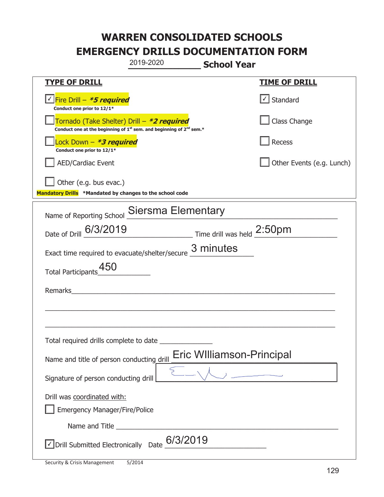|                                                                                                                                           | 2019-2020                 | <b>School Year</b>                                           |                           |
|-------------------------------------------------------------------------------------------------------------------------------------------|---------------------------|--------------------------------------------------------------|---------------------------|
| <u>TYPE OF DRILL</u>                                                                                                                      |                           |                                                              | <b>TIME OF DRILL</b>      |
| Fire Drill - *5 required<br>Conduct one prior to 12/1*                                                                                    |                           |                                                              | $\cup$ Standard           |
| Tornado (Take Shelter) Drill – *2 required<br>Conduct one at the beginning of 1 <sup>st</sup> sem. and beginning of 2 <sup>nd</sup> sem.* |                           |                                                              | Class Change              |
| Lock Down - *3 required<br>Conduct one prior to 12/1*                                                                                     |                           |                                                              | Recess                    |
| <b>AED/Cardiac Event</b>                                                                                                                  |                           |                                                              | Other Events (e.g. Lunch) |
| Other (e.g. bus evac.)<br>Mandatory Drills *Mandated by changes to the school code                                                        |                           |                                                              |                           |
| Name of Reporting School                                                                                                                  | <b>Siersma Elementary</b> |                                                              |                           |
| Date of Drill 6/3/2019                                                                                                                    |                           | $\frac{1}{2}$ Time drill was held $\frac{2:50 \text{pm}}{2}$ |                           |
| Exact time required to evacuate/shelter/secure 3 minutes                                                                                  |                           |                                                              |                           |
| <b>Total Participants</b>                                                                                                                 |                           |                                                              |                           |
| Remarks                                                                                                                                   |                           |                                                              |                           |
|                                                                                                                                           |                           |                                                              |                           |
|                                                                                                                                           |                           |                                                              |                           |
| Total required drills complete to date                                                                                                    |                           |                                                              |                           |
| Name and title of person conducting drill                                                                                                 |                           | Eric WIlliamson-Principal                                    |                           |
| Signature of person conducting drill                                                                                                      |                           | $\begin{array}{ccc} & & \\ \hline & & \\ \hline \end{array}$ |                           |
| Drill was coordinated with:<br><b>Emergency Manager/Fire/Police</b>                                                                       |                           |                                                              |                           |
|                                                                                                                                           |                           |                                                              |                           |
| $\vee$ Drill Submitted Electronically Date $6/3/2019$                                                                                     |                           |                                                              |                           |

T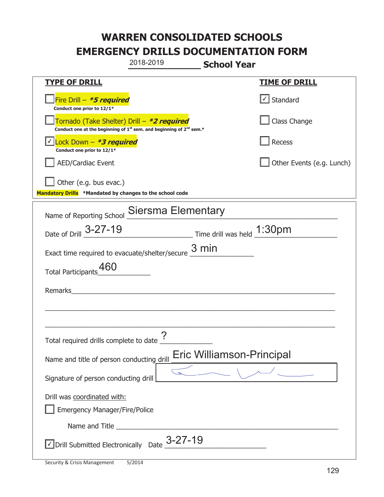|                                                                                    | 2018-2019                                                                                   | <b>School Year</b>                                                        |                           |
|------------------------------------------------------------------------------------|---------------------------------------------------------------------------------------------|---------------------------------------------------------------------------|---------------------------|
| <u>TYPE OF DRILL</u>                                                               |                                                                                             |                                                                           | <b>TIME OF DRILL</b>      |
| Fire Drill - *5 required<br>Conduct one prior to 12/1*                             |                                                                                             |                                                                           | √ Standard                |
| Tornado (Take Shelter) Drill – *2 required                                         | Conduct one at the beginning of 1 <sup>st</sup> sem. and beginning of 2 <sup>nd</sup> sem.* |                                                                           | Class Change              |
| Lock Down $-$ <b>*3 required</b><br>Conduct one prior to 12/1*                     |                                                                                             |                                                                           | Recess                    |
| <b>AED/Cardiac Event</b>                                                           |                                                                                             |                                                                           | Other Events (e.g. Lunch) |
| Other (e.g. bus evac.)<br>Mandatory Drills *Mandated by changes to the school code |                                                                                             |                                                                           |                           |
| Name of Reporting School                                                           | <b>Siersma Elementary</b>                                                                   |                                                                           |                           |
| Date of Drill 3-27-19                                                              |                                                                                             | $\frac{1:30 \text{pm}}{2}$ Time drill was held $\frac{1:30 \text{pm}}{2}$ |                           |
| Exact time required to evacuate/shelter/secure $\frac{3 \text{ min}}{2}$           |                                                                                             |                                                                           |                           |
| <b>Total Participants</b>                                                          |                                                                                             |                                                                           |                           |
| Remarks                                                                            |                                                                                             |                                                                           |                           |
|                                                                                    |                                                                                             |                                                                           |                           |
|                                                                                    |                                                                                             |                                                                           |                           |
| Total required drills complete to date <u>?</u>                                    |                                                                                             |                                                                           |                           |
| Name and title of person conducting drill                                          |                                                                                             | <b>Eric Williamson-Principal</b>                                          |                           |
| Signature of person conducting drill                                               |                                                                                             |                                                                           |                           |
| Drill was coordinated with:                                                        |                                                                                             |                                                                           |                           |
| <b>Emergency Manager/Fire/Police</b>                                               |                                                                                             |                                                                           |                           |
|                                                                                    |                                                                                             |                                                                           |                           |
| $\vee$ Drill Submitted Electronically Date $\frac{3-27-19}{2}$                     |                                                                                             |                                                                           |                           |

I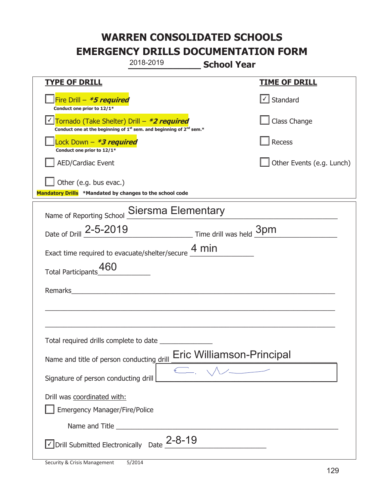|                                                                                               | 2018-2019                                                                  | <b>School Year</b>        |
|-----------------------------------------------------------------------------------------------|----------------------------------------------------------------------------|---------------------------|
| <u>TYPE OF DRILL</u>                                                                          |                                                                            | <u>TIME OF DRILL</u>      |
| Fire Drill - <i>*<b>5 required</b></i><br>Conduct one prior to 12/1*                          |                                                                            | $\cup$ Standard           |
| Tornado (Take Shelter) Drill – *2 required                                                    | Conduct one at the beginning of $1st$ sem. and beginning of $2nd$ sem.*    | Class Change              |
| Lock Down – <b>*<i>3 required</i></b><br>Conduct one prior to 12/1*                           |                                                                            | Recess                    |
| <b>AED/Cardiac Event</b>                                                                      |                                                                            | Other Events (e.g. Lunch) |
| Other (e.g. bus evac.)<br>Mandatory Drills *Mandated by changes to the school code            |                                                                            |                           |
|                                                                                               | Name of Reporting School Siersma Elementary                                |                           |
| Date of Drill 2-5-2019                                                                        | Time drill was held 3pm                                                    |                           |
|                                                                                               | Exact time required to evacuate/shelter/secure $\underline{4}\,\text{min}$ |                           |
| <b>Total Participants</b>                                                                     |                                                                            |                           |
| Remarks                                                                                       |                                                                            |                           |
|                                                                                               |                                                                            |                           |
|                                                                                               |                                                                            |                           |
| Total required drills complete to date                                                        |                                                                            |                           |
| Name and title of person conducting drill                                                     |                                                                            | Eric Williamson-Principal |
| Signature of person conducting drill                                                          |                                                                            | C.                        |
| Drill was coordinated with:                                                                   |                                                                            |                           |
| <b>Emergency Manager/Fire/Police</b>                                                          |                                                                            |                           |
|                                                                                               |                                                                            |                           |
| $\overline{\phantom{a}}$ Drill Submitted Electronically Date $\underline{\phantom{a}}$ 2-8-19 |                                                                            |                           |

T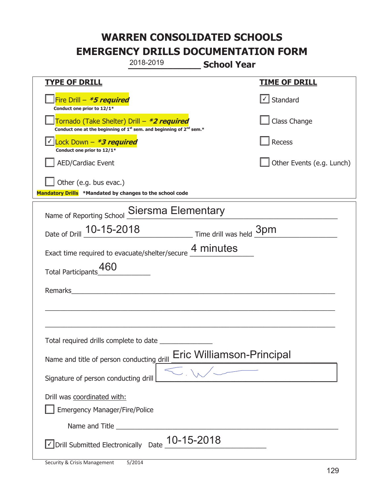|                                                                                    | 2018-2019                                                               | <b>School Year</b>        |                           |
|------------------------------------------------------------------------------------|-------------------------------------------------------------------------|---------------------------|---------------------------|
| <u>TYPE OF DRILL</u>                                                               |                                                                         |                           | <b>TIME OF DRILL</b>      |
| Fire Drill - *5 required<br>Conduct one prior to 12/1*                             |                                                                         |                           | √ Standard                |
| Tornado (Take Shelter) Drill – *2 required                                         | Conduct one at the beginning of $1st$ sem. and beginning of $2nd$ sem.* |                           | Class Change              |
| Lock Down - *3 required<br>Conduct one prior to 12/1*                              |                                                                         |                           | Recess                    |
| AED/Cardiac Event                                                                  |                                                                         |                           | Other Events (e.g. Lunch) |
| Other (e.g. bus evac.)<br>Mandatory Drills *Mandated by changes to the school code |                                                                         |                           |                           |
| Name of Reporting School                                                           | <b>Siersma Elementary</b>                                               |                           |                           |
| Date of Drill 10-15-2018 Time drill was held 3pm                                   |                                                                         |                           |                           |
| Exact time required to evacuate/shelter/secure 4 minutes                           |                                                                         |                           |                           |
| 460<br><b>Total Participants</b>                                                   |                                                                         |                           |                           |
| Remarks                                                                            |                                                                         |                           |                           |
|                                                                                    |                                                                         |                           |                           |
|                                                                                    |                                                                         |                           |                           |
| Total required drills complete to date                                             |                                                                         |                           |                           |
| Name and title of person conducting drill                                          |                                                                         | Eric Williamson-Principal |                           |
| Signature of person conducting drill                                               |                                                                         |                           |                           |
| Drill was coordinated with:<br><b>Emergency Manager/Fire/Police</b>                |                                                                         |                           |                           |
|                                                                                    |                                                                         |                           |                           |
| √ Drill Submitted Electronically Date                                              | 10-15-2018                                                              |                           |                           |

t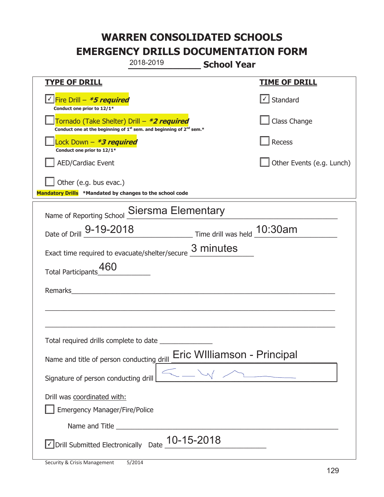|                                                                                    | 2018-2019                                                                                   | <b>School Year</b>          |                             |
|------------------------------------------------------------------------------------|---------------------------------------------------------------------------------------------|-----------------------------|-----------------------------|
| <u>TYPE OF DRILL</u>                                                               |                                                                                             |                             | <u>TIME OF DRILL</u>        |
| V Fire Drill - *5 required<br>Conduct one prior to 12/1*                           |                                                                                             |                             | Standard                    |
| Tornado (Take Shelter) Drill – *2 required                                         | Conduct one at the beginning of 1 <sup>st</sup> sem. and beginning of 2 <sup>nd</sup> sem.* |                             | Class Change                |
| Lock Down - *3 required<br>Conduct one prior to 12/1*                              |                                                                                             |                             | Recess                      |
| AED/Cardiac Event                                                                  |                                                                                             |                             | Other Events (e.g. Lunch)   |
| Other (e.g. bus evac.)<br>Mandatory Drills *Mandated by changes to the school code |                                                                                             |                             |                             |
| Name of Reporting School Siersma Elementary                                        |                                                                                             |                             |                             |
| Date of Drill 9-19-2018 Time drill was held 10:30am                                |                                                                                             |                             |                             |
| Exact time required to evacuate/shelter/secure $\frac{3 \text{ minutes}}{4}$       |                                                                                             |                             |                             |
| 460<br><b>Total Participants</b>                                                   |                                                                                             |                             |                             |
| Remarks                                                                            |                                                                                             |                             |                             |
|                                                                                    |                                                                                             |                             |                             |
|                                                                                    |                                                                                             |                             |                             |
| Total required drills complete to date                                             |                                                                                             |                             |                             |
| Name and title of person conducting drill                                          |                                                                                             | Eric WIlliamson - Principal |                             |
| Signature of person conducting drill                                               |                                                                                             |                             | $\overbrace{\hspace{27mm}}$ |
| Drill was coordinated with:<br><b>Emergency Manager/Fire/Police</b>                |                                                                                             |                             |                             |
|                                                                                    |                                                                                             |                             |                             |
| √ Drill Submitted Electronically Date                                              | 10-15-2018                                                                                  |                             |                             |

T